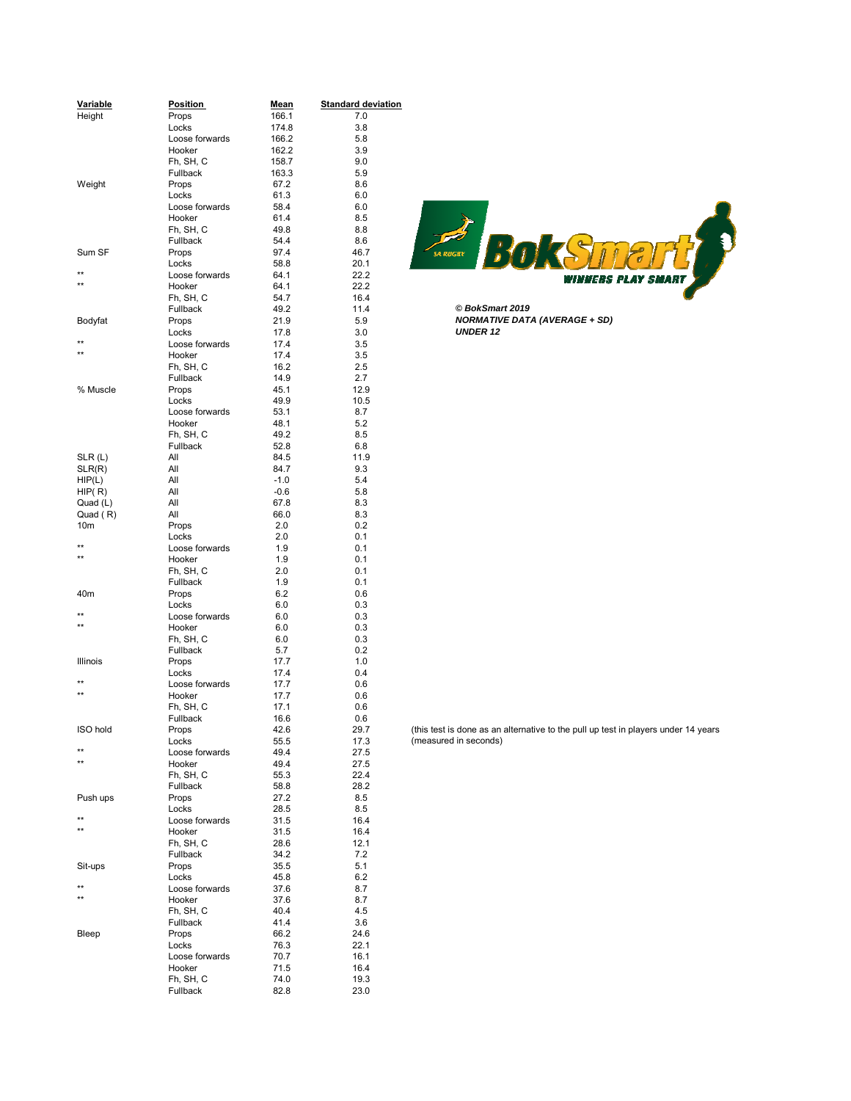| Variable        | <b>Position</b> | <u>Mean</u> | <b>Standard deviation</b> |                                                         |
|-----------------|-----------------|-------------|---------------------------|---------------------------------------------------------|
| Height          | Props           | 166.1       | 7.0                       |                                                         |
|                 | Locks           | 174.8       | 3.8                       |                                                         |
|                 | Loose forwards  | 166.2       | 5.8                       |                                                         |
|                 | Hooker          | 162.2       | 3.9                       |                                                         |
|                 | Fh, SH, C       | 158.7       | 9.0                       |                                                         |
|                 | Fullback        | 163.3       |                           |                                                         |
|                 |                 |             | 5.9                       |                                                         |
| Weight          | Props           | 67.2        | 8.6                       |                                                         |
|                 | Locks           | 61.3        | 6.0                       |                                                         |
|                 | Loose forwards  | 58.4        | 6.0                       |                                                         |
|                 | Hooker          | 61.4        | 8.5                       |                                                         |
|                 | Fh, SH, C       | 49.8        | 8.8                       |                                                         |
|                 | Fullback        | 54.4        | 8.6                       | BOK                                                     |
| Sum SF          | Props           | 97.4        | 46.7                      | sa Rugay                                                |
|                 | Locks           | 58.8        | 20.1                      |                                                         |
| $\star\star$    | Loose forwards  | 64.1        | 22.2                      | winners                                                 |
| $***$           | Hooker          | 64.1        | 22.2                      |                                                         |
|                 | Fh, SH, C       | 54.7        | 16.4                      |                                                         |
|                 | Fullback        | 49.2        | 11.4                      | © BokSmart 2019                                         |
| Bodyfat         | Props           | 21.9        | 5.9                       | <b>NORMATIVE DATA (AVERAGE + SD)</b>                    |
|                 | Locks           | 17.8        | 3.0                       | <b>UNDER 12</b>                                         |
| $^{\star\star}$ | Loose forwards  | 17.4        | 3.5                       |                                                         |
| $***$           | Hooker          | 17.4        | 3.5                       |                                                         |
|                 | Fh, SH, C       | 16.2        | 2.5                       |                                                         |
|                 | Fullback        | 14.9        | 2.7                       |                                                         |
| % Muscle        | Props           | 45.1        | 12.9                      |                                                         |
|                 | Locks           | 49.9        | 10.5                      |                                                         |
|                 | Loose forwards  | 53.1        | 8.7                       |                                                         |
|                 | Hooker          | 48.1        | 5.2                       |                                                         |
|                 | Fh, SH, C       | 49.2        | 8.5                       |                                                         |
|                 | Fullback        | 52.8        | 6.8                       |                                                         |
| SLR(L)          | All             | 84.5        | 11.9                      |                                                         |
|                 | All             | 84.7        | 9.3                       |                                                         |
| SLR(R)          | All             | $-1.0$      | 5.4                       |                                                         |
| HIP(L)          | All             |             |                           |                                                         |
| HIP(R)          |                 | $-0.6$      | 5.8                       |                                                         |
| Quad (L)        | All             | 67.8        | 8.3                       |                                                         |
| Quad (R)        | All             | 66.0        | 8.3                       |                                                         |
| 10 <sub>m</sub> | Props           | 2.0         | 0.2                       |                                                         |
| $\star\star$    | Locks           | 2.0         | 0.1                       |                                                         |
| $***$           | Loose forwards  | 1.9         | 0.1                       |                                                         |
|                 | Hooker          | 1.9         | 0.1                       |                                                         |
|                 | Fh, SH, C       | 2.0         | 0.1                       |                                                         |
|                 | Fullback        | 1.9         | 0.1                       |                                                         |
| 40m             | Props           | 6.2         | 0.6                       |                                                         |
|                 | Locks           | 6.0         | 0.3                       |                                                         |
| $***$           | Loose forwards  | 6.0         | 0.3                       |                                                         |
| $\star\star$    | Hooker          | 6.0         | 0.3                       |                                                         |
|                 | Fh, SH, C       | 6.0         | 0.3                       |                                                         |
|                 | Fullback        | 5.7         | 0.2                       |                                                         |
| Illinois        | Props           | 17.7        | 1.0                       |                                                         |
|                 | Locks           | 17.4        | 0.4                       |                                                         |
| $***$           | Loose forwards  | 17.7        | 0.6                       |                                                         |
| $\star\star$    | Hooker          | 17.7        | 0.6                       |                                                         |
|                 | Fh, SH, C       | 17.1        | 0.6                       |                                                         |
|                 | Fullback        | 16.6        | 0.6                       |                                                         |
| ISO hold        | Props           | 42.6        | 29.7                      | (this test is done as an alternative to the pull up tes |
|                 | Locks           | 55.5        | 17.3                      | (measured in seconds)                                   |
| $^{\star\star}$ | Loose forwards  | 49.4        | 27.5                      |                                                         |
| $\star\star$    | Hooker          | 49.4        | 27.5                      |                                                         |
|                 | Fh, SH, C       | 55.3        | 22.4                      |                                                         |
|                 | Fullback        | 58.8        | 28.2                      |                                                         |
| Push ups        | Props           | 27.2        | 8.5                       |                                                         |
|                 | Locks           | 28.5        | 8.5                       |                                                         |
| $***$           | Loose forwards  | 31.5        | 16.4                      |                                                         |
| $^{\star\star}$ | Hooker          | 31.5        | 16.4                      |                                                         |
|                 | Fh, SH, C       | 28.6        | 12.1                      |                                                         |
|                 | Fullback        | 34.2        | 7.2                       |                                                         |
| Sit-ups         | Props           | 35.5        | 5.1                       |                                                         |
|                 |                 |             | 6.2                       |                                                         |
| $\star\star$    | Locks           | 45.8        |                           |                                                         |
| $\star\star$    | Loose forwards  | 37.6        | 8.7                       |                                                         |
|                 | Hooker          | 37.6        | 8.7                       |                                                         |
|                 | Fh, SH, C       | 40.4        | 4.5                       |                                                         |
|                 | Fullback        | 41.4        | 3.6                       |                                                         |
| Bleep           | Props           | 66.2        | 24.6                      |                                                         |
|                 | Locks           | 76.3        | 22.1                      |                                                         |
|                 | Loose forwards  | 70.7        | 16.1                      |                                                         |
|                 | Hooker          | 71.5        | 16.4                      |                                                         |
|                 | Fh, SH, C       | 74.0        | 19.3                      |                                                         |
|                 | Fullback        | 82.8        | 23.0                      |                                                         |



(this test is done as an alternative to the pull up test in players under 14 years  $($ measured in seconds $)$